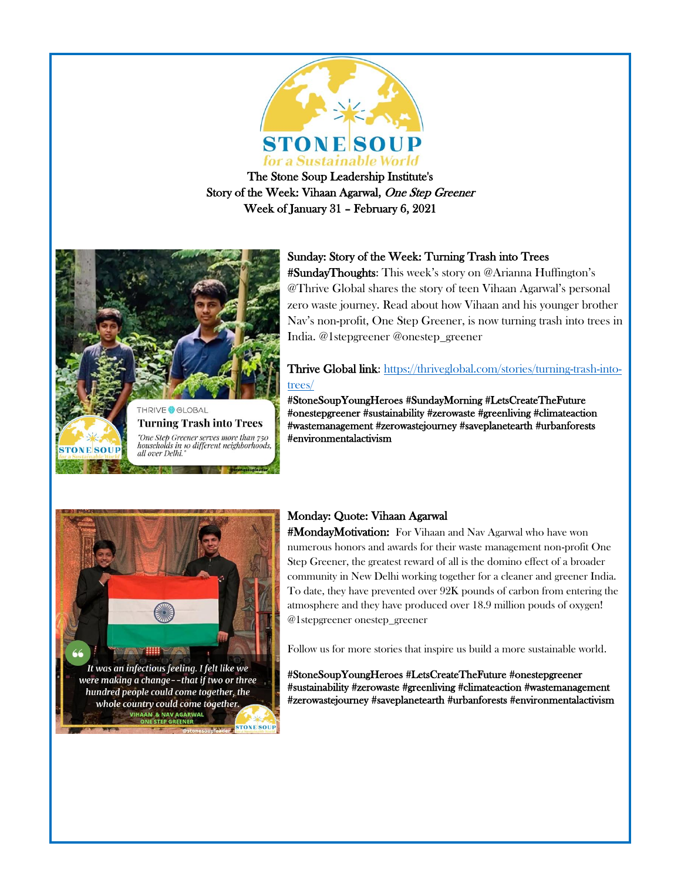

The Stone Soup Leadership Institute's Story of the Week: Vihaan Agarwal, One Step Greener Week of January 31 – February 6, 2021



# Sunday: Story of the Week: Turning Trash into Trees

#SundayThoughts: This week's story on @Arianna Huffington's @Thrive Global shares the story of teen Vihaan Agarwal's personal zero waste journey. Read about how Vihaan and his younger brother Nav's non-profit, One Step Greener, is now turning trash into trees in India. @1stepgreener @onestep\_greener

Thrive Global link: [https://thriveglobal.com/stories/turning-trash-into](https://thriveglobal.com/stories/turning-trash-into-trees/)[trees/](https://thriveglobal.com/stories/turning-trash-into-trees/)

#StoneSoupYoungHeroes #SundayMorning [#LetsCreateTheFuture](https://www.facebook.com/hashtag/letscreatethefuture?__eep__=6&__cft__%5b0%5d=AZUWFIO4ML4-H35lZrxBp_DQMmOlE9zjP5kA3c_A3LznWR_DZkCYVby4cNCexgDGMJ43iqE_SOMzpqPuD5ZY32lCgr8Ds2ll63HjhjEtqrsvNBXtETJzc1hj4bz8KX63seNGsnmg6vL0vcUeXBqsa6jsKZmOshzzO0-Wa2JfD3edl-o-2DvBnrfJVmS9hFH420Y&__tn__=*NK-R)  [#onestepgreener](https://www.facebook.com/hashtag/onestepgreener?__eep__=6&__cft__%5b0%5d=AZVnUT09ODefCkxAH5Sg83EgonRXxFoTYf1LIyCgRCKst9r32M_8GekpUeoIq_smZZVndev-6omGoXAZcJmYDx0AyLqSQrVmIEJNa-VlqgPIEiSTdB_d6lJyminWqHWH3tQbAARLxQDRzi2Ajvi-3l3h&__tn__=*NK-R) [#sustainability](https://www.facebook.com/hashtag/sustainability?__eep__=6&__cft__%5b0%5d=AZXyeEpDU5kR045qBdRwN53lO7ldLouC2l3e-IEUTHFcFDtbWAmzK0gqpfalCAeatvvG4wXQTkTRXyie4l6i_nibPYX89GiZVZNafnOd0GaHU_8nEkfhwCqaW4AYxXudGqiCIfLaEjAswznhxWrz7Gw3&__tn__=*NK-R) [#zerowaste](https://www.facebook.com/hashtag/zerowaste?__eep__=6&__cft__%5b0%5d=AZVsmSTLD4pfqZc8rEVAFlUX3lo3t0TgS5xLzfQXrmWvxDMH6nPGteTcNFrKek6MSanAKM8dfP6adL1k0NgR58GuRqvuxWnltoi2riZgkXIP_dGEVyGhGr4ntuiEOwOFRo47HoE0LK1H2Vm0pJ-YeQRx&__tn__=*NK-R) [#greenliving #](https://www.facebook.com/hashtag/greenliving?__eep__=6&__cft__%5b0%5d=AZVsmSTLD4pfqZc8rEVAFlUX3lo3t0TgS5xLzfQXrmWvxDMH6nPGteTcNFrKek6MSanAKM8dfP6adL1k0NgR58GuRqvuxWnltoi2riZgkXIP_dGEVyGhGr4ntuiEOwOFRo47HoE0LK1H2Vm0pJ-YeQRx&__tn__=*NK-R)climateaction [#wastemanagement](https://www.facebook.com/hashtag/wastemanagement?__eep__=6&__cft__%5b0%5d=AZXcy_tQs0D8ljXx9SIpKkP7nQEsj8J_bwczdu6OwupU8yhKxXo7772fv4o07Q75xG_Qh4HudeKjoH2Uvk-AwdhBc5f3a6uQ7Kd3ptWRRaj97WWIGe-pXp3_cdQ_HwnUReqMdeiMSS-5qiGOVaZjKDEWRGDZOORmO1dPyKaQ6USJXA&__tn__=*NK-R) [#zerowastejourney](https://www.facebook.com/hashtag/zerowastejourney?__eep__=6&__cft__%5b0%5d=AZVsmSTLD4pfqZc8rEVAFlUX3lo3t0TgS5xLzfQXrmWvxDMH6nPGteTcNFrKek6MSanAKM8dfP6adL1k0NgR58GuRqvuxWnltoi2riZgkXIP_dGEVyGhGr4ntuiEOwOFRo47HoE0LK1H2Vm0pJ-YeQRx&__tn__=*NK-R) [#saveplanetearth](https://www.facebook.com/hashtag/saveplanetearth?__eep__=6&__cft__%5b0%5d=AZXyeEpDU5kR045qBdRwN53lO7ldLouC2l3e-IEUTHFcFDtbWAmzK0gqpfalCAeatvvG4wXQTkTRXyie4l6i_nibPYX89GiZVZNafnOd0GaHU_8nEkfhwCqaW4AYxXudGqiCIfLaEjAswznhxWrz7Gw3&__tn__=*NK-R) #urbanforests #environmentalactivism



# Monday: Quote: Vihaan Agarwal

#MondayMotivation: For Vihaan and Nav Agarwal who have won numerous honors and awards for their waste management non-profit One Step Greener, the greatest reward of all is the domino effect of a broader community in New Delhi working together for a cleaner and greener India. To date, they have prevented over 92K pounds of carbon from entering the atmosphere and they have produced over 18.9 million pouds of oxygen! @1stepgreener onestep\_greener

Follow us for more stories that inspire us build a more sustainable world.

#StoneSoupYoungHeroes [#LetsCreateTheFuture](https://www.facebook.com/hashtag/letscreatethefuture?__eep__=6&__cft__%5b0%5d=AZUWFIO4ML4-H35lZrxBp_DQMmOlE9zjP5kA3c_A3LznWR_DZkCYVby4cNCexgDGMJ43iqE_SOMzpqPuD5ZY32lCgr8Ds2ll63HjhjEtqrsvNBXtETJzc1hj4bz8KX63seNGsnmg6vL0vcUeXBqsa6jsKZmOshzzO0-Wa2JfD3edl-o-2DvBnrfJVmS9hFH420Y&__tn__=*NK-R) [#onestepgreener](https://www.facebook.com/hashtag/onestepgreener?__eep__=6&__cft__%5b0%5d=AZVnUT09ODefCkxAH5Sg83EgonRXxFoTYf1LIyCgRCKst9r32M_8GekpUeoIq_smZZVndev-6omGoXAZcJmYDx0AyLqSQrVmIEJNa-VlqgPIEiSTdB_d6lJyminWqHWH3tQbAARLxQDRzi2Ajvi-3l3h&__tn__=*NK-R)  [#sustainability](https://www.facebook.com/hashtag/sustainability?__eep__=6&__cft__%5b0%5d=AZXyeEpDU5kR045qBdRwN53lO7ldLouC2l3e-IEUTHFcFDtbWAmzK0gqpfalCAeatvvG4wXQTkTRXyie4l6i_nibPYX89GiZVZNafnOd0GaHU_8nEkfhwCqaW4AYxXudGqiCIfLaEjAswznhxWrz7Gw3&__tn__=*NK-R) [#zerowaste](https://www.facebook.com/hashtag/zerowaste?__eep__=6&__cft__%5b0%5d=AZVsmSTLD4pfqZc8rEVAFlUX3lo3t0TgS5xLzfQXrmWvxDMH6nPGteTcNFrKek6MSanAKM8dfP6adL1k0NgR58GuRqvuxWnltoi2riZgkXIP_dGEVyGhGr4ntuiEOwOFRo47HoE0LK1H2Vm0pJ-YeQRx&__tn__=*NK-R) [#greenliving #](https://www.facebook.com/hashtag/greenliving?__eep__=6&__cft__%5b0%5d=AZVsmSTLD4pfqZc8rEVAFlUX3lo3t0TgS5xLzfQXrmWvxDMH6nPGteTcNFrKek6MSanAKM8dfP6adL1k0NgR58GuRqvuxWnltoi2riZgkXIP_dGEVyGhGr4ntuiEOwOFRo47HoE0LK1H2Vm0pJ-YeQRx&__tn__=*NK-R)climateactio[n #wastemanagement](https://www.facebook.com/hashtag/wastemanagement?__eep__=6&__cft__%5b0%5d=AZXcy_tQs0D8ljXx9SIpKkP7nQEsj8J_bwczdu6OwupU8yhKxXo7772fv4o07Q75xG_Qh4HudeKjoH2Uvk-AwdhBc5f3a6uQ7Kd3ptWRRaj97WWIGe-pXp3_cdQ_HwnUReqMdeiMSS-5qiGOVaZjKDEWRGDZOORmO1dPyKaQ6USJXA&__tn__=*NK-R)  [#zerowastejourney](https://www.facebook.com/hashtag/zerowastejourney?__eep__=6&__cft__%5b0%5d=AZVsmSTLD4pfqZc8rEVAFlUX3lo3t0TgS5xLzfQXrmWvxDMH6nPGteTcNFrKek6MSanAKM8dfP6adL1k0NgR58GuRqvuxWnltoi2riZgkXIP_dGEVyGhGr4ntuiEOwOFRo47HoE0LK1H2Vm0pJ-YeQRx&__tn__=*NK-R) [#saveplanetearth](https://www.facebook.com/hashtag/saveplanetearth?__eep__=6&__cft__%5b0%5d=AZXyeEpDU5kR045qBdRwN53lO7ldLouC2l3e-IEUTHFcFDtbWAmzK0gqpfalCAeatvvG4wXQTkTRXyie4l6i_nibPYX89GiZVZNafnOd0GaHU_8nEkfhwCqaW4AYxXudGqiCIfLaEjAswznhxWrz7Gw3&__tn__=*NK-R) #urbanforests #environmentalactivism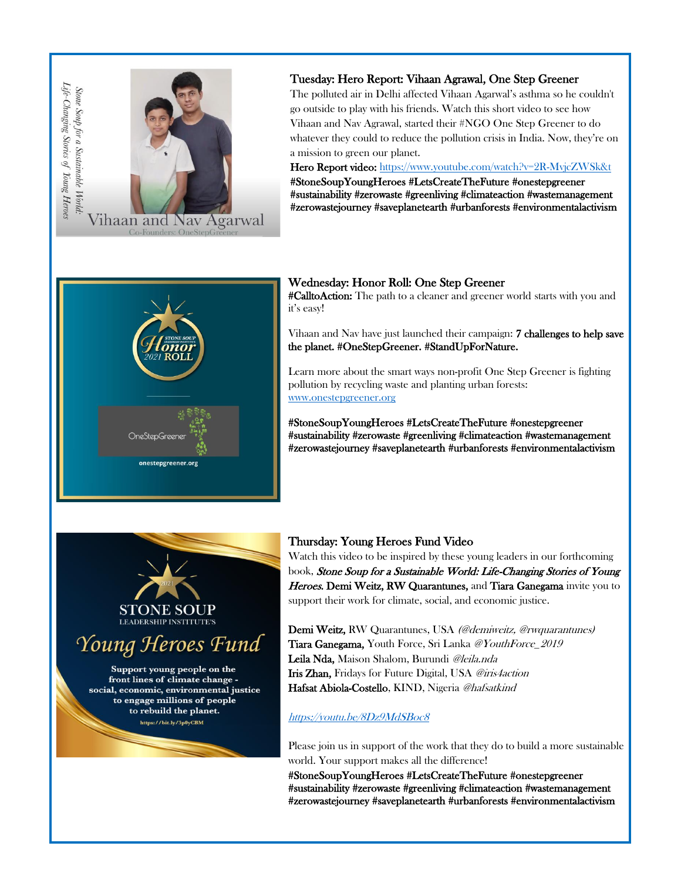

## Tuesday: Hero Report: Vihaan Agrawal, One Step Greener

The polluted air in Delhi affected Vihaan Agarwal's asthma so he couldn't go outside to play with his friends. Watch this short video to see how Vihaan and Nav Agrawal, started their #NGO One Step Greener to do whatever they could to reduce the pollution crisis in India. Now, they're on a mission to green our planet.

Hero Report video:<https://www.youtube.com/watch?v=2R-MvjcZWSk&t> #StoneSoupYoungHeroes [#LetsCreateTheFuture](https://www.facebook.com/hashtag/letscreatethefuture?__eep__=6&__cft__%5b0%5d=AZUWFIO4ML4-H35lZrxBp_DQMmOlE9zjP5kA3c_A3LznWR_DZkCYVby4cNCexgDGMJ43iqE_SOMzpqPuD5ZY32lCgr8Ds2ll63HjhjEtqrsvNBXtETJzc1hj4bz8KX63seNGsnmg6vL0vcUeXBqsa6jsKZmOshzzO0-Wa2JfD3edl-o-2DvBnrfJVmS9hFH420Y&__tn__=*NK-R) [#onestepgreener](https://www.facebook.com/hashtag/onestepgreener?__eep__=6&__cft__%5b0%5d=AZVnUT09ODefCkxAH5Sg83EgonRXxFoTYf1LIyCgRCKst9r32M_8GekpUeoIq_smZZVndev-6omGoXAZcJmYDx0AyLqSQrVmIEJNa-VlqgPIEiSTdB_d6lJyminWqHWH3tQbAARLxQDRzi2Ajvi-3l3h&__tn__=*NK-R)  [#sustainability](https://www.facebook.com/hashtag/sustainability?__eep__=6&__cft__%5b0%5d=AZXyeEpDU5kR045qBdRwN53lO7ldLouC2l3e-IEUTHFcFDtbWAmzK0gqpfalCAeatvvG4wXQTkTRXyie4l6i_nibPYX89GiZVZNafnOd0GaHU_8nEkfhwCqaW4AYxXudGqiCIfLaEjAswznhxWrz7Gw3&__tn__=*NK-R) [#zerowaste](https://www.facebook.com/hashtag/zerowaste?__eep__=6&__cft__%5b0%5d=AZVsmSTLD4pfqZc8rEVAFlUX3lo3t0TgS5xLzfQXrmWvxDMH6nPGteTcNFrKek6MSanAKM8dfP6adL1k0NgR58GuRqvuxWnltoi2riZgkXIP_dGEVyGhGr4ntuiEOwOFRo47HoE0LK1H2Vm0pJ-YeQRx&__tn__=*NK-R) [#greenliving](https://www.facebook.com/hashtag/greenliving?__eep__=6&__cft__%5b0%5d=AZVsmSTLD4pfqZc8rEVAFlUX3lo3t0TgS5xLzfQXrmWvxDMH6nPGteTcNFrKek6MSanAKM8dfP6adL1k0NgR58GuRqvuxWnltoi2riZgkXIP_dGEVyGhGr4ntuiEOwOFRo47HoE0LK1H2Vm0pJ-YeQRx&__tn__=*NK-R) #climateaction [#wastemanagement](https://www.facebook.com/hashtag/wastemanagement?__eep__=6&__cft__%5b0%5d=AZXcy_tQs0D8ljXx9SIpKkP7nQEsj8J_bwczdu6OwupU8yhKxXo7772fv4o07Q75xG_Qh4HudeKjoH2Uvk-AwdhBc5f3a6uQ7Kd3ptWRRaj97WWIGe-pXp3_cdQ_HwnUReqMdeiMSS-5qiGOVaZjKDEWRGDZOORmO1dPyKaQ6USJXA&__tn__=*NK-R)  [#zerowastejourney](https://www.facebook.com/hashtag/zerowastejourney?__eep__=6&__cft__%5b0%5d=AZVsmSTLD4pfqZc8rEVAFlUX3lo3t0TgS5xLzfQXrmWvxDMH6nPGteTcNFrKek6MSanAKM8dfP6adL1k0NgR58GuRqvuxWnltoi2riZgkXIP_dGEVyGhGr4ntuiEOwOFRo47HoE0LK1H2Vm0pJ-YeQRx&__tn__=*NK-R) [#saveplanetearth](https://www.facebook.com/hashtag/saveplanetearth?__eep__=6&__cft__%5b0%5d=AZXyeEpDU5kR045qBdRwN53lO7ldLouC2l3e-IEUTHFcFDtbWAmzK0gqpfalCAeatvvG4wXQTkTRXyie4l6i_nibPYX89GiZVZNafnOd0GaHU_8nEkfhwCqaW4AYxXudGqiCIfLaEjAswznhxWrz7Gw3&__tn__=*NK-R) #urbanforests #environmentalactivism



### Wednesday: Honor Roll: One Step Greener

#CalltoAction: The path to a cleaner and greener world starts with you and it's easy!

Vihaan and Nav have just launched their campaign: 7 challenges to help save the planet. #OneStepGreener. #StandUpForNature.

Learn more about the smart ways non-profit One Step Greener is fighting pollution by recycling waste and planting urban forests: [www.onestepgreener.org](http://www.onestepgreener.org/)

#StoneSoupYoungHeroe[s #LetsCreateTheFuture](https://www.facebook.com/hashtag/letscreatethefuture?__eep__=6&__cft__%5b0%5d=AZUWFIO4ML4-H35lZrxBp_DQMmOlE9zjP5kA3c_A3LznWR_DZkCYVby4cNCexgDGMJ43iqE_SOMzpqPuD5ZY32lCgr8Ds2ll63HjhjEtqrsvNBXtETJzc1hj4bz8KX63seNGsnmg6vL0vcUeXBqsa6jsKZmOshzzO0-Wa2JfD3edl-o-2DvBnrfJVmS9hFH420Y&__tn__=*NK-R) [#onestepgreener](https://www.facebook.com/hashtag/onestepgreener?__eep__=6&__cft__%5b0%5d=AZVnUT09ODefCkxAH5Sg83EgonRXxFoTYf1LIyCgRCKst9r32M_8GekpUeoIq_smZZVndev-6omGoXAZcJmYDx0AyLqSQrVmIEJNa-VlqgPIEiSTdB_d6lJyminWqHWH3tQbAARLxQDRzi2Ajvi-3l3h&__tn__=*NK-R)  [#sustainability](https://www.facebook.com/hashtag/sustainability?__eep__=6&__cft__%5b0%5d=AZXyeEpDU5kR045qBdRwN53lO7ldLouC2l3e-IEUTHFcFDtbWAmzK0gqpfalCAeatvvG4wXQTkTRXyie4l6i_nibPYX89GiZVZNafnOd0GaHU_8nEkfhwCqaW4AYxXudGqiCIfLaEjAswznhxWrz7Gw3&__tn__=*NK-R) [#zerowaste](https://www.facebook.com/hashtag/zerowaste?__eep__=6&__cft__%5b0%5d=AZVsmSTLD4pfqZc8rEVAFlUX3lo3t0TgS5xLzfQXrmWvxDMH6nPGteTcNFrKek6MSanAKM8dfP6adL1k0NgR58GuRqvuxWnltoi2riZgkXIP_dGEVyGhGr4ntuiEOwOFRo47HoE0LK1H2Vm0pJ-YeQRx&__tn__=*NK-R) [#greenliving](https://www.facebook.com/hashtag/greenliving?__eep__=6&__cft__%5b0%5d=AZVsmSTLD4pfqZc8rEVAFlUX3lo3t0TgS5xLzfQXrmWvxDMH6nPGteTcNFrKek6MSanAKM8dfP6adL1k0NgR58GuRqvuxWnltoi2riZgkXIP_dGEVyGhGr4ntuiEOwOFRo47HoE0LK1H2Vm0pJ-YeQRx&__tn__=*NK-R) #climateaction [#wastemanagement](https://www.facebook.com/hashtag/wastemanagement?__eep__=6&__cft__%5b0%5d=AZXcy_tQs0D8ljXx9SIpKkP7nQEsj8J_bwczdu6OwupU8yhKxXo7772fv4o07Q75xG_Qh4HudeKjoH2Uvk-AwdhBc5f3a6uQ7Kd3ptWRRaj97WWIGe-pXp3_cdQ_HwnUReqMdeiMSS-5qiGOVaZjKDEWRGDZOORmO1dPyKaQ6USJXA&__tn__=*NK-R)  [#zerowastejourney](https://www.facebook.com/hashtag/zerowastejourney?__eep__=6&__cft__%5b0%5d=AZVsmSTLD4pfqZc8rEVAFlUX3lo3t0TgS5xLzfQXrmWvxDMH6nPGteTcNFrKek6MSanAKM8dfP6adL1k0NgR58GuRqvuxWnltoi2riZgkXIP_dGEVyGhGr4ntuiEOwOFRo47HoE0LK1H2Vm0pJ-YeQRx&__tn__=*NK-R) [#saveplanetearth](https://www.facebook.com/hashtag/saveplanetearth?__eep__=6&__cft__%5b0%5d=AZXyeEpDU5kR045qBdRwN53lO7ldLouC2l3e-IEUTHFcFDtbWAmzK0gqpfalCAeatvvG4wXQTkTRXyie4l6i_nibPYX89GiZVZNafnOd0GaHU_8nEkfhwCqaW4AYxXudGqiCIfLaEjAswznhxWrz7Gw3&__tn__=*NK-R) #urbanforests #environmentalactivism



Young Heroes Fund

Support young people on the front lines of climate change social, economic, environmental justice to engage millions of people to rebuild the planet. https://bit.ly/3p0yCBM

## Thursday: Young Heroes Fund Video

Watch this video to be inspired by these young leaders in our forthcoming book, Stone Soup for a Sustainable World: Life-Changing Stories of Young Heroes. Demi Weitz, RW Quarantunes, and Tiara Ganegama invite you to support their work for climate, social, and economic justice.

Demi Weitz, RW Quarantunes, USA (@demiweitz, @rwquarantunes) Tiara Ganegama, Youth Force, Sri Lanka [@YouthForce\\_2019](https://www.instagram.com/YouthForce_2019/) Leila Nda, Maison Shalom, Burundi @leila.nda Iris Zhan, Fridays for Future Digital, USA [@iris4action](https://www.instagram.com/iris4action/) Hafsat Abiola-Costello, KIND, Nigeria @hafsatkind

#### <https://youtu.be/8Dz9MdSBoc8>

Please join us in support of the work that they do to build a more sustainable world. Your support makes all the difference!

#StoneSoupYoungHeroe[s #LetsCreateTheFuture](https://www.facebook.com/hashtag/letscreatethefuture?__eep__=6&__cft__%5b0%5d=AZUWFIO4ML4-H35lZrxBp_DQMmOlE9zjP5kA3c_A3LznWR_DZkCYVby4cNCexgDGMJ43iqE_SOMzpqPuD5ZY32lCgr8Ds2ll63HjhjEtqrsvNBXtETJzc1hj4bz8KX63seNGsnmg6vL0vcUeXBqsa6jsKZmOshzzO0-Wa2JfD3edl-o-2DvBnrfJVmS9hFH420Y&__tn__=*NK-R) [#onestepgreener](https://www.facebook.com/hashtag/onestepgreener?__eep__=6&__cft__%5b0%5d=AZVnUT09ODefCkxAH5Sg83EgonRXxFoTYf1LIyCgRCKst9r32M_8GekpUeoIq_smZZVndev-6omGoXAZcJmYDx0AyLqSQrVmIEJNa-VlqgPIEiSTdB_d6lJyminWqHWH3tQbAARLxQDRzi2Ajvi-3l3h&__tn__=*NK-R)  [#sustainability](https://www.facebook.com/hashtag/sustainability?__eep__=6&__cft__%5b0%5d=AZXyeEpDU5kR045qBdRwN53lO7ldLouC2l3e-IEUTHFcFDtbWAmzK0gqpfalCAeatvvG4wXQTkTRXyie4l6i_nibPYX89GiZVZNafnOd0GaHU_8nEkfhwCqaW4AYxXudGqiCIfLaEjAswznhxWrz7Gw3&__tn__=*NK-R) [#zerowaste](https://www.facebook.com/hashtag/zerowaste?__eep__=6&__cft__%5b0%5d=AZVsmSTLD4pfqZc8rEVAFlUX3lo3t0TgS5xLzfQXrmWvxDMH6nPGteTcNFrKek6MSanAKM8dfP6adL1k0NgR58GuRqvuxWnltoi2riZgkXIP_dGEVyGhGr4ntuiEOwOFRo47HoE0LK1H2Vm0pJ-YeQRx&__tn__=*NK-R) [#greenliving](https://www.facebook.com/hashtag/greenliving?__eep__=6&__cft__%5b0%5d=AZVsmSTLD4pfqZc8rEVAFlUX3lo3t0TgS5xLzfQXrmWvxDMH6nPGteTcNFrKek6MSanAKM8dfP6adL1k0NgR58GuRqvuxWnltoi2riZgkXIP_dGEVyGhGr4ntuiEOwOFRo47HoE0LK1H2Vm0pJ-YeQRx&__tn__=*NK-R) #climateaction [#wastemanagement](https://www.facebook.com/hashtag/wastemanagement?__eep__=6&__cft__%5b0%5d=AZXcy_tQs0D8ljXx9SIpKkP7nQEsj8J_bwczdu6OwupU8yhKxXo7772fv4o07Q75xG_Qh4HudeKjoH2Uvk-AwdhBc5f3a6uQ7Kd3ptWRRaj97WWIGe-pXp3_cdQ_HwnUReqMdeiMSS-5qiGOVaZjKDEWRGDZOORmO1dPyKaQ6USJXA&__tn__=*NK-R)  [#zerowastejourney](https://www.facebook.com/hashtag/zerowastejourney?__eep__=6&__cft__%5b0%5d=AZVsmSTLD4pfqZc8rEVAFlUX3lo3t0TgS5xLzfQXrmWvxDMH6nPGteTcNFrKek6MSanAKM8dfP6adL1k0NgR58GuRqvuxWnltoi2riZgkXIP_dGEVyGhGr4ntuiEOwOFRo47HoE0LK1H2Vm0pJ-YeQRx&__tn__=*NK-R) [#saveplanetearth](https://www.facebook.com/hashtag/saveplanetearth?__eep__=6&__cft__%5b0%5d=AZXyeEpDU5kR045qBdRwN53lO7ldLouC2l3e-IEUTHFcFDtbWAmzK0gqpfalCAeatvvG4wXQTkTRXyie4l6i_nibPYX89GiZVZNafnOd0GaHU_8nEkfhwCqaW4AYxXudGqiCIfLaEjAswznhxWrz7Gw3&__tn__=*NK-R) #urbanforests #environmentalactivism